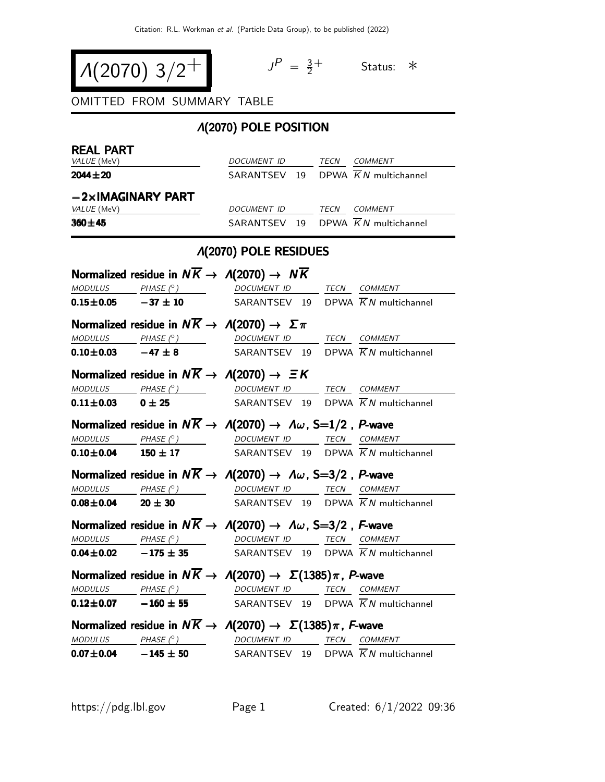$$
\left.\begin{array}{c|c} \Lambda(2070) & 3/2^+ & \end{array}\right\}
$$

 $P = \frac{3}{2}$  $\frac{3}{2}$ <sup>+</sup> Status: ∗

OMITTED FROM SUMMARY TABLE

## Λ(2070) POLE POSITION

| <b>REAL PART</b>                                                                    |                                                                                                                                                                                                                                                                                                                                                                                                                                                                          |                          |  |  |                                                |  |
|-------------------------------------------------------------------------------------|--------------------------------------------------------------------------------------------------------------------------------------------------------------------------------------------------------------------------------------------------------------------------------------------------------------------------------------------------------------------------------------------------------------------------------------------------------------------------|--------------------------|--|--|------------------------------------------------|--|
| VALUE (MeV)                                                                         |                                                                                                                                                                                                                                                                                                                                                                                                                                                                          | DOCUMENT ID TECN COMMENT |  |  |                                                |  |
| $2044 \pm 20$                                                                       |                                                                                                                                                                                                                                                                                                                                                                                                                                                                          |                          |  |  | SARANTSEV 19 DPWA $\overline{K}N$ multichannel |  |
|                                                                                     | $-2\times$ IMAGINARY PART                                                                                                                                                                                                                                                                                                                                                                                                                                                |                          |  |  |                                                |  |
| VALUE (MeV)                                                                         |                                                                                                                                                                                                                                                                                                                                                                                                                                                                          | DOCUMENT ID TECN COMMENT |  |  |                                                |  |
| $360 + 45$                                                                          |                                                                                                                                                                                                                                                                                                                                                                                                                                                                          |                          |  |  | SARANTSEV 19 DPWA $\overline{K}N$ multichannel |  |
|                                                                                     | <b>A(2070) POLE RESIDUES</b>                                                                                                                                                                                                                                                                                                                                                                                                                                             |                          |  |  |                                                |  |
| Normalized residue in $N\overline{K} \rightarrow A(2070) \rightarrow N\overline{K}$ |                                                                                                                                                                                                                                                                                                                                                                                                                                                                          |                          |  |  |                                                |  |
|                                                                                     | $\textit{MODULUS} \qquad \qquad \textit{PHASE} \text{ }(^{\circ}) \qquad \qquad \textit{DOCUMENT ID} \qquad \qquad \textit{TECN} \quad \textit{COMMENT}$                                                                                                                                                                                                                                                                                                                 |                          |  |  |                                                |  |
|                                                                                     | <b>0.15±0.05</b> -37 ± 10 SARANTSEV 19 DPWA $\overline{K}N$ multichannel                                                                                                                                                                                                                                                                                                                                                                                                 |                          |  |  |                                                |  |
|                                                                                     | Normalized residue in $N\overline{K} \to \Lambda(2070) \to \Sigma \pi$                                                                                                                                                                                                                                                                                                                                                                                                   |                          |  |  |                                                |  |
|                                                                                     | $MODULUS PHASE (°) DOCUMENT ID TECN COMMENT$                                                                                                                                                                                                                                                                                                                                                                                                                             |                          |  |  |                                                |  |
|                                                                                     | <b>0.10±0.03</b> $-47 \pm 8$ SARANTSEV 19 DPWA $\overline{K}N$ multichannel                                                                                                                                                                                                                                                                                                                                                                                              |                          |  |  |                                                |  |
|                                                                                     | Normalized residue in $N\overline{K} \rightarrow \Lambda(2070) \rightarrow \Xi K$                                                                                                                                                                                                                                                                                                                                                                                        |                          |  |  |                                                |  |
|                                                                                     | $\begin{array}{ccccccccc} \textit{MODULUS} & \textit{PHASE}& \textcircled{?} & \textit{DOCUMENT} & \textit{ID} & \textit{TECN} & \textit{COMMENT} & \textit{IMMENT} & \textit{IMMENT} & \textit{IMMENT} & \textit{IMMENT} & \textit{IMMENT} & \textit{IMMENT} & \textit{INMIST} & \textit{INMIST} & \textit{INMIST} & \textit{INMIST} & \textit{INMIST} & \textit{INMIST} & \textit{INMIST} & \textit{INMIST} & \textit{INMIST} & \textit{INMIST} & \textit{INMIST} & \$ |                          |  |  |                                                |  |
| $0.11 \pm 0.03$ 0 $\pm$ 25                                                          |                                                                                                                                                                                                                                                                                                                                                                                                                                                                          |                          |  |  | SARANTSEV 19 DPWA $\overline{K}N$ multichannel |  |
|                                                                                     | Normalized residue in $N\overline{K} \to A(2070) \to A\omega$ , S=1/2, P-wave                                                                                                                                                                                                                                                                                                                                                                                            |                          |  |  |                                                |  |
|                                                                                     | $MODULUS PHASE (°) DOCUMENT ID TECN COMMENT$                                                                                                                                                                                                                                                                                                                                                                                                                             |                          |  |  |                                                |  |
|                                                                                     | <b>0.10±0.04</b> 150 ± 17 SARANTSEV 19 DPWA $\overline{K}N$ multichannel                                                                                                                                                                                                                                                                                                                                                                                                 |                          |  |  |                                                |  |
|                                                                                     | Normalized residue in $N\overline{K} \to \Lambda(2070) \to \Lambda \omega$ , S=3/2, P-wave                                                                                                                                                                                                                                                                                                                                                                               |                          |  |  |                                                |  |
|                                                                                     | $\begin{array}{ccc}\textit{MODULUS} & \quad \textit{PHASE (}^{\circ}) & \quad \textit{DOCUMENT ID} & \quad \textit{TECN} \quad \textit{COMMENT} \end{array}$                                                                                                                                                                                                                                                                                                             |                          |  |  |                                                |  |
|                                                                                     | <b>0.08±0.04</b> 20 ± 30 SARANTSEV 19 DPWA $\overline{K}N$ multichannel                                                                                                                                                                                                                                                                                                                                                                                                  |                          |  |  |                                                |  |
|                                                                                     | Normalized residue in $N\overline{K} \to \Lambda(2070) \to \Lambda \omega$ , S=3/2, F-wave                                                                                                                                                                                                                                                                                                                                                                               |                          |  |  |                                                |  |
|                                                                                     | MODULUS PHASE $(°)$ DOCUMENT ID TECN COMMENT                                                                                                                                                                                                                                                                                                                                                                                                                             |                          |  |  |                                                |  |
|                                                                                     | <b>0.04±0.02</b> -175 ± 35 SARANTSEV 19 DPWA $\overline{K}N$ multichannel                                                                                                                                                                                                                                                                                                                                                                                                |                          |  |  |                                                |  |
|                                                                                     | Normalized residue in $N\overline{K} \to \Lambda(2070) \to \Sigma(1385)\pi$ , P-wave                                                                                                                                                                                                                                                                                                                                                                                     |                          |  |  |                                                |  |
|                                                                                     | $MODULUS$ PHASE $(^\circ)$                                                                                                                                                                                                                                                                                                                                                                                                                                               | DOCUMENT ID              |  |  | TECN COMMENT                                   |  |
| $0.12 \pm 0.07$ $-160 \pm 55$                                                       |                                                                                                                                                                                                                                                                                                                                                                                                                                                                          |                          |  |  | SARANTSEV 19 DPWA $\overline{K}N$ multichannel |  |
|                                                                                     | Normalized residue in $N\overline{K} \to \Lambda(2070) \to \Sigma(1385)\pi$ , F-wave                                                                                                                                                                                                                                                                                                                                                                                     |                          |  |  |                                                |  |
|                                                                                     | $\underline{\textit{MODULUS}} \qquad \underline{\textit{PHASE (}^{\circ}) \qquad \qquad \underline{\textit{DOCUMENT ID}} \qquad \underline{\textit{TECN}} \quad \underline{\textit{COMMENT}}$                                                                                                                                                                                                                                                                            |                          |  |  |                                                |  |
|                                                                                     | $0.07 \pm 0.04$ $-145 \pm 50$                                                                                                                                                                                                                                                                                                                                                                                                                                            |                          |  |  | SARANTSEV 19 DPWA $\overline{K}N$ multichannel |  |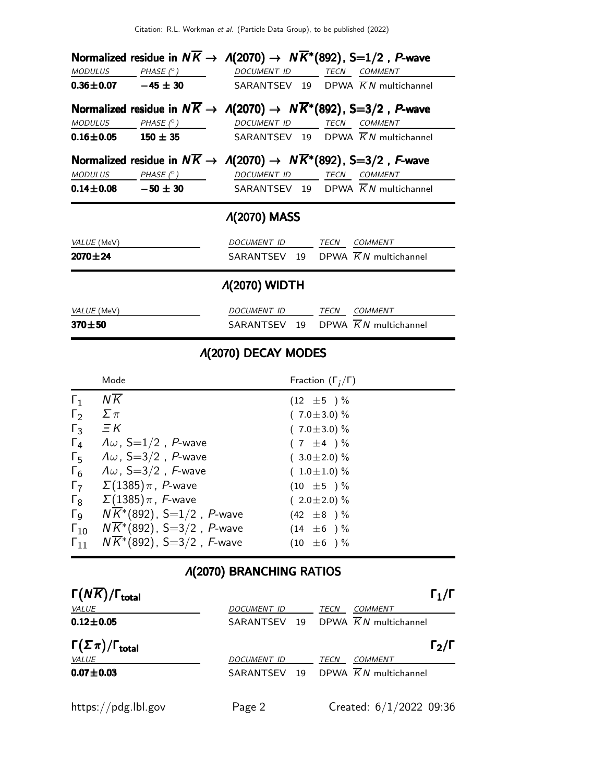|                    |                            |                                               | Normalized residue in $N\overline{K} \to \Lambda(2070) \to N\overline{K}^*(892)$ , S=1/2, P-wave                             |
|--------------------|----------------------------|-----------------------------------------------|------------------------------------------------------------------------------------------------------------------------------|
|                    | $MODULUS$ $PHASE (°)$      | DOCUMENT ID                                   | <b>TECN</b><br><b>COMMENT</b>                                                                                                |
|                    |                            |                                               | <b>0.36±0.07</b> $-45 \pm 30$ SARANTSEV 19 DPWA $\overline{K}N$ multichannel                                                 |
|                    |                            |                                               | Normalized residue in $N\overline{K} \to \Lambda(2070) \to N\overline{K}^*(892)$ , S=3/2, P-wave                             |
| MODULUS            |                            | $PHASE\ (^{\circ })$ DOCUMENT ID TECN COMMENT |                                                                                                                              |
|                    |                            |                                               | <b>0.16±0.05</b> 150 ± 35 SARANTSEV 19 DPWA $\overline{K}N$ multichannel                                                     |
|                    | $MODULUS$ PHASE $(^\circ)$ |                                               | Normalized residue in $N\overline{K} \to \Lambda(2070) \to N\overline{K}^*(892)$ , S=3/2, F-wave<br>DOCUMENT ID TECN COMMENT |
|                    |                            |                                               | <b>0.14±0.08 -50 ± 30</b> SARANTSEV 19 DPWA $\overline{K}N$ multichannel                                                     |
|                    |                            | <b><i>A</i>(2070) MASS</b>                    |                                                                                                                              |
| <i>VALUE</i> (MeV) |                            |                                               | DOCUMENT ID TECN COMMENT                                                                                                     |
| $2070 \pm 24$      |                            |                                               | SARANTSEV 19 DPWA $\overline{K}N$ multichannel                                                                               |
|                    |                            | <b><i>A</i>(2070) WIDTH</b>                   |                                                                                                                              |
| VALUE (MeV)        |                            | DOCUMENT ID                                   | TECN<br><b>COMMENT</b>                                                                                                       |

## Λ(2070) DECAY MODES

 $370 \pm 50$  SARANTSEV 19 DPWA  $\overline{K}N$  multichannel

|                       | Mode                                              | Fraction $(\Gamma_i/\Gamma)$ |
|-----------------------|---------------------------------------------------|------------------------------|
| $\Gamma_1$            | NK                                                | $(12 \pm 5) \%$              |
| $\Gamma_2$            | $\Sigma \pi$                                      | $(7.0 \pm 3.0)$ %            |
| $\Gamma_3$            | $\Xi K$                                           | $(7.0 \pm 3.0)$ %            |
| $\Gamma_4$            | $\Lambda \omega$ , S=1/2, P-wave                  | $(7 \pm 4) \%$               |
| $\Gamma_5$            | $\Lambda \omega$ , S=3/2, P-wave                  | $(3.0 \pm 2.0)$ %            |
| $\Gamma_6$            | $\Lambda \omega$ , S=3/2, F-wave                  | $(1.0 \pm 1.0)$ %            |
| $\Gamma_7$            | $\Sigma(1385)\pi$ , P-wave                        | $(10 \pm 5) \%$              |
| $\Gamma_8$            | $\Sigma(1385)\pi$ , F-wave                        | $(2.0 \pm 2.0)$ %            |
| $\Gamma$ <sub>9</sub> | $N\overline{K}$ <sup>*</sup> (892), S=1/2, P-wave | $(42 \pm 8) \%$              |
| $\Gamma_{10}$         | $N\overline{K}^*(892)$ , S=3/2, P-wave            | $(14 \pm 6) \%$              |
| $\Gamma_{11}$         | $N\overline{K}^*(892)$ , S=3/2, F-wave            | $(10 \pm 6) \%$              |

## Λ(2070) BRANCHING RATIOS

| $\Gamma(N\overline{K})/\Gamma_{\rm total}$ |                    | $\Gamma_1/\Gamma$                 |
|--------------------------------------------|--------------------|-----------------------------------|
| <b>VALUE</b>                               | <b>DOCUMENT ID</b> | TECN<br><b>COMMENT</b>            |
| $0.12 \pm 0.05$                            | SARANTSEV<br>19    | DPWA $\overline{K}N$ multichannel |
| $\Gamma(\Sigma \pi)/\Gamma_{\rm total}$    |                    | $\Gamma_2/\Gamma$                 |
| <b>VALUE</b>                               | <b>DOCUMENT ID</b> | <b>COMMENT</b><br>TECN            |
| $0.07 + 0.03$                              | SARANTSEV<br>19    | DPWA $\overline{K}N$ multichannel |
| https://pdg.lbl.gov                        | Page 2             | Created: $6/1/2022$ 09:36         |